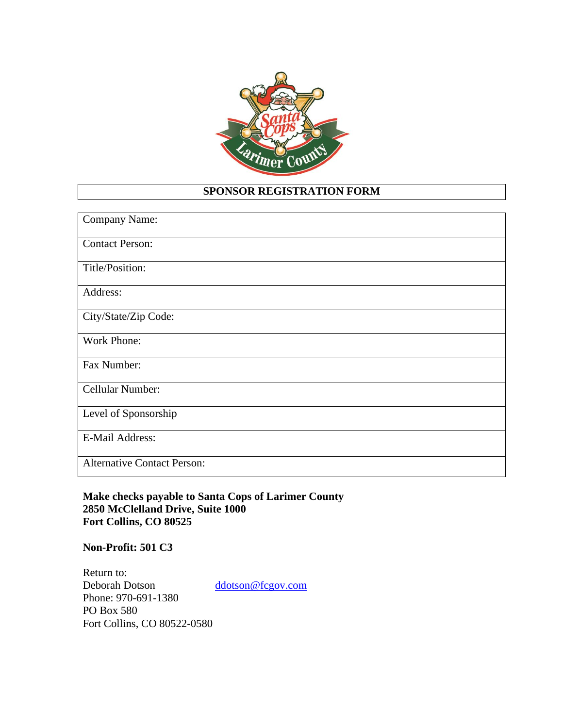

## **SPONSOR REGISTRATION FORM**

| Company Name:                      |
|------------------------------------|
| <b>Contact Person:</b>             |
| Title/Position:                    |
| Address:                           |
| City/State/Zip Code:               |
| Work Phone:                        |
| Fax Number:                        |
| Cellular Number:                   |
| Level of Sponsorship               |
| <b>E-Mail Address:</b>             |
| <b>Alternative Contact Person:</b> |

**Make checks payable to Santa Cops of Larimer County 2850 McClelland Drive, Suite 1000 Fort Collins, CO 80525**

## **Non-Profit: 501 C3**

Return to:<br>Deborah Dotson [ddotson@fcgov.com](mailto:ddotson@fcgov.com) Phone: 970-691-1380 PO Box 580 Fort Collins, CO 80522-0580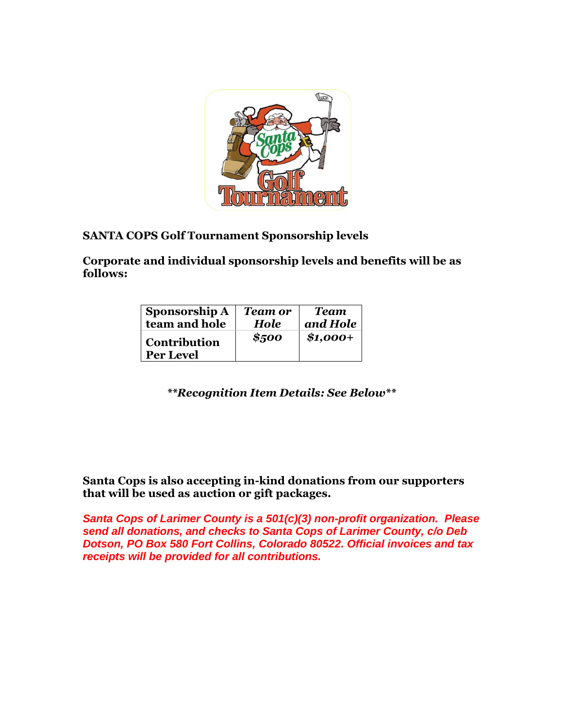

## **SANTA COPS Golf Tournament Sponsorship levels**

**Corporate and individual sponsorship levels and benefits will be as follows:**

| <b>Sponsorship A</b>                    | <b>Team or</b> | <b>Team</b> |
|-----------------------------------------|----------------|-------------|
| team and hole                           | <b>Hole</b>    | and Hole    |
| <b>Contribution</b><br><b>Per Level</b> | \$500          | $$1,000+$   |

*\*\*Recognition Item Details: See Below\*\**

**Santa Cops is also accepting in-kind donations from our supporters that will be used as auction or gift packages.**

*Santa Cops of Larimer County is a 501(c)(3) non-profit organization. Please send all donations, and checks to Santa Cops of Larimer County, c/o Deb Dotson, PO Box 580 Fort Collins, Colorado 80522. Official invoices and tax receipts will be provided for all contributions.*